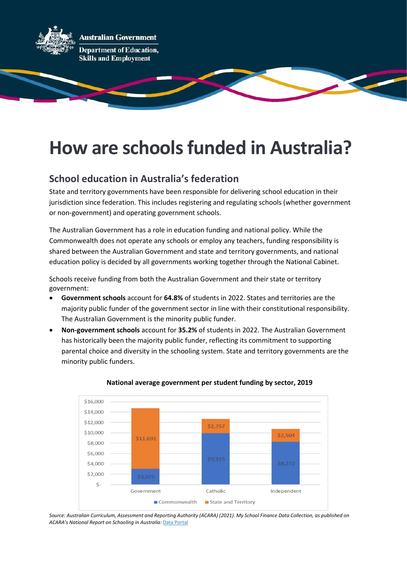

# How are schools funded in Australia?

### School education in Australia's federation

State and territory governments have been responsible for delivering school education in their jurisdiction since federation. This includes registering and regulating schools (whether government or non-government) and operating government schools.

The Australian Government has a role in education funding and national policy. While the Commonwealth does not operate any schools or employ any teachers, funding responsibility is shared between the Australian Government and state and territory governments, and national education policy is decided by all governments working together through the National Cabinet.

Schools receive funding from both the Australian Government and their state or territory government:

- Government schools account for 64.8% of students in 2022. States and territories are the majority public funder of the government sector in line with their constitutional responsibility. The Australian Government is the minority public funder.
- Non-government schools account for 35.2% of students in 2022. The Australian Government has historically been the majority public funder, reflecting its commitment to supporting parental choice and diversity in the schooling system. State and territory governments are the minority public funders.



#### National average government per student funding by sector, 2019

Source: Australian Curriculum, Assessment and Reporting Authority (ACARA) (2021). My School Finance Data Collection, as published on ACARA's National Report on Schooling in Australia: Data Portal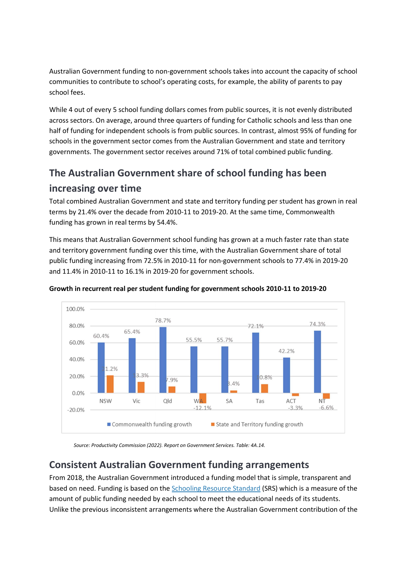Australian Government funding to non-government schools takes into account the capacity of school communities to contribute to school's operating costs, for example, the ability of parents to pay school fees.

While 4 out of every 5 school funding dollars comes from public sources, it is not evenly distributed across sectors. On average, around three quarters of funding for Catholic schools and less than one half of funding for independent schools is from public sources. In contrast, almost 95% of funding for schools in the government sector comes from the Australian Government and state and territory governments. The government sector receives around 71% of total combined public funding.

# The Australian Government share of school funding has been increasing over time

Total combined Australian Government and state and territory funding per student has grown in real terms by 21.4% over the decade from 2010-11 to 2019-20. At the same time, Commonwealth funding has grown in real terms by 54.4%.

This means that Australian Government school funding has grown at a much faster rate than state and territory government funding over this time, with the Australian Government share of total public funding increasing from 72.5% in 2010-11 for non-government schools to 77.4% in 2019-20 and 11.4% in 2010-11 to 16.1% in 2019-20 for government schools.



### Growth in recurrent real per student funding for government schools 2010-11 to 2019-20

Source: Productivity Commission (2022). Report on Government Services. Table: 4A.14.

## Consistent Australian Government funding arrangements

From 2018, the Australian Government introduced a funding model that is simple, transparent and based on need. Funding is based on the Schooling Resource Standard (SRS) which is a measure of the amount of public funding needed by each school to meet the educational needs of its students. Unlike the previous inconsistent arrangements where the Australian Government contribution of the